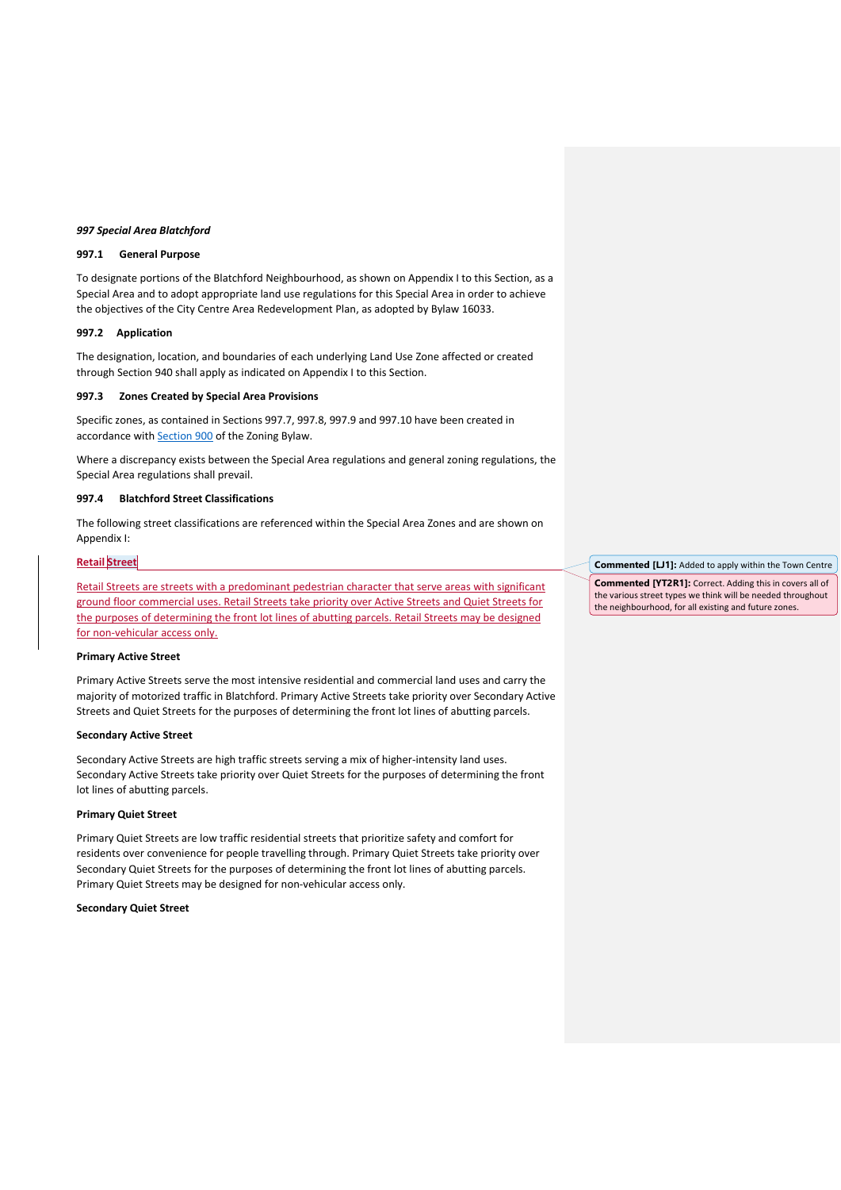#### *997 Special Area Blatchford*

## **997.1 General Purpose**

To designate portions of the Blatchford Neighbourhood, as shown on Appendix I to this Section, as a Special Area and to adopt appropriate land use regulations for this Special Area in order to achieve the objectives of the City Centre Area Redevelopment Plan, as adopted by Bylaw 16033.

### **997.2 Application**

The designation, location, and boundaries of each underlying Land Use Zone affected or created through Section 940 shall apply as indicated on Appendix I to this Section.

# **997.3 Zones Created by Special Area Provisions**

Specific zones, as contained in Sections 997.7, 997.8, 997.9 and 997.10 have been created in accordance with **[Section 900](https://webdocs.edmonton.ca/InfraPlan/zoningbylaw/ZoningBylaw/Part2/Special_Areas/900_Special_Areas_General_Provisions.htm)** of the Zoning Bylaw.

Where a discrepancy exists between the Special Area regulations and general zoning regulations, the Special Area regulations shall prevail.

# **997.4 Blatchford Street Classifications**

The following street classifications are referenced within the Special Area Zones and are shown on Appendix I:

#### **Retail Street**

Retail Streets are streets with a predominant pedestrian character that serve areas with significant ground floor commercial uses. Retail Streets take priority over Active Streets and Quiet Streets for the purposes of determining the front lot lines of abutting parcels. Retail Streets may be designed for non-vehicular access only.

## **Primary Active Street**

Primary Active Streets serve the most intensive residential and commercial land uses and carry the majority of motorized traffic in Blatchford. Primary Active Streets take priority over Secondary Active Streets and Quiet Streets for the purposes of determining the front lot lines of abutting parcels.

#### **Secondary Active Street**

Secondary Active Streets are high traffic streets serving a mix of higher-intensity land uses. Secondary Active Streets take priority over Quiet Streets for the purposes of determining the front lot lines of abutting parcels.

# **Primary Quiet Street**

Primary Quiet Streets are low traffic residential streets that prioritize safety and comfort for residents over convenience for people travelling through. Primary Quiet Streets take priority over Secondary Quiet Streets for the purposes of determining the front lot lines of abutting parcels. Primary Quiet Streets may be designed for non-vehicular access only.

## **Secondary Quiet Street**

**Commented [LJ1]:** Added to apply within the Town Centre

**Commented [YT2R1]:** Correct. Adding this in covers all of the various street types we think will be needed throughout the neighbourhood, for all existing and future zones.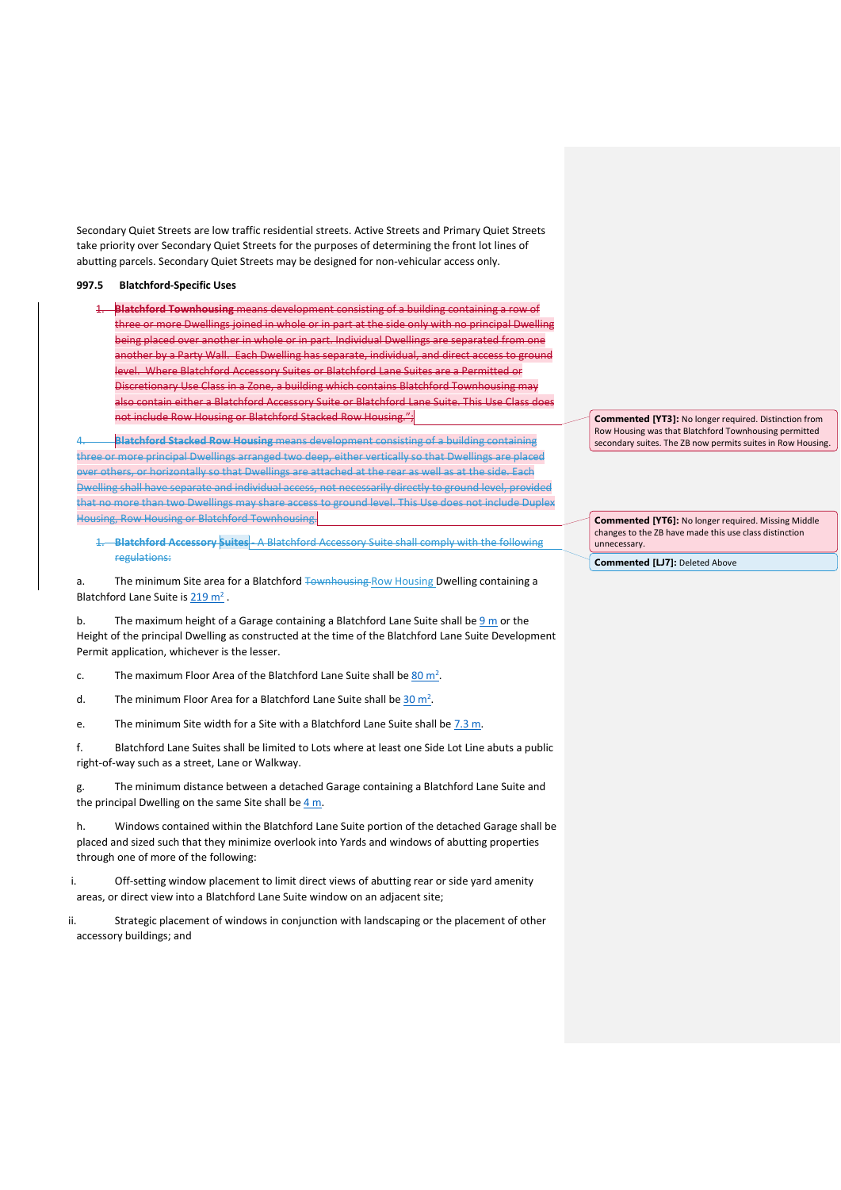Secondary Quiet Streets are low traffic residential streets. Active Streets and Primary Quiet Streets take priority over Secondary Quiet Streets for the purposes of determining the front lot lines of abutting parcels. Secondary Quiet Streets may be designed for non-vehicular access only.

# **997.5 Blatchford-Specific Uses**

1. **Blatchford Townhousing** means development consisting of a building containing a row of three or more Dwellings joined in whole or in part at the side only with no principal Dwelling being placed over another in whole or in part. Individual Dwellings are separated from one another by a Party Wall. Each Dwelling has separate, individual, and direct access to ground level. Where Blatchford Accessory Suites or Blatchford Lane Suites are a Permitted or Discretionary Use Class in a Zone, a building which contains Blatchford Townhousing may also contain either a Blatchford Accessory Suite or Blatchford Lane Suite. This Use Class does not include Row Housing or Blatchford Stacked Row Housing.";

4. **Blatchford Stacked Row Housing** means development consisting of a building containing three or more principal Dwellings arranged two deep, either vertically so that Dwellings are placed over others, or horizontally so that Dwellings are attached at the rear as well as at the side. Each Dwelling shall have separate and individual access, not necessarily directly to ground level, provided that no more than two Dwellings may share access to ground level. This Use does not include Duplex Housing, Row Housing or Blatchford Townhousing.

1. **Blatchford Accessory Suites** - A Blatchford Accessory Suite shall comply with the following regulations:

a. The minimum Site area for a Blatchford Townhousing Row Housing Dwelling containing a Blatchford Lane Suite is  $219 \text{ m}^2$ .

b. The maximum height of a Garage containing a Blatchford Lane Suite shall be  $9 \text{ m}$  or the Height of the principal Dwelling as constructed at the time of the Blatchford Lane Suite Development Permit application, whichever is the lesser.

c. The maximum Floor Area of the Blatchford Lane Suite shall be  $\underline{80 \text{ m}^2}$ .

d. The minimum Floor Area for a Blatchford Lane Suite shall be [30 m](https://webdocs.edmonton.ca/InfraPlan/zoningbylaw/ZoningBylaw/Measurements/ia30.htm)<sup>2</sup>.

e. The minimum Site width for a Site with a Blatchford Lane Suite shall be  $7.3 \text{ m}$ .

f. Blatchford Lane Suites shall be limited to Lots where at least one Side Lot Line abuts a public right-of-way such as a street, Lane or Walkway.

g. The minimum distance between a detached Garage containing a Blatchford Lane Suite and the principal Dwelling on the same Site shall be  $4 m$ .

h. Windows contained within the Blatchford Lane Suite portion of the detached Garage shall be placed and sized such that they minimize overlook into Yards and windows of abutting properties through one of more of the following:

i. Off-setting window placement to limit direct views of abutting rear or side yard amenity areas, or direct view into a Blatchford Lane Suite window on an adjacent site;

ii. Strategic placement of windows in conjunction with landscaping or the placement of other accessory buildings; and

**Commented [YT3]:** No longer required. Distinction from Row Housing was that Blatchford Townhousing permitted secondary suites. The ZB now permits suites in Row Housing.

**Commented [YT6]:** No longer required. Missing Middle changes to the ZB have made this use class distinction unnecessary.

**Commented [LJ7]:** Deleted Above